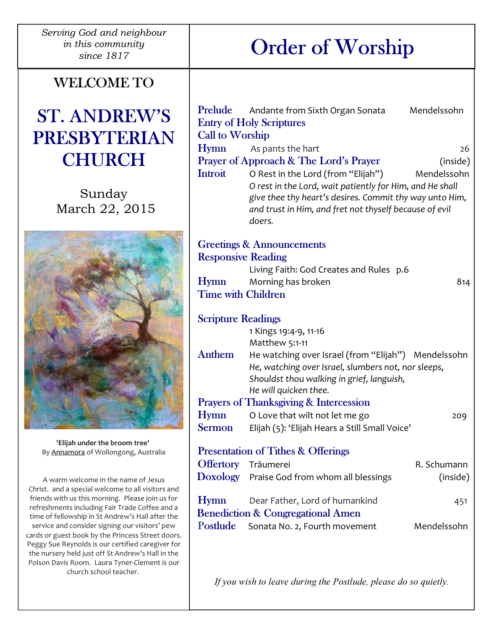Serving God and neighbour in this community

# WELCOME TO

# ST. ANDREW'S PRESBYTERIAN **CHURCH**

Sunday March 22, 2015



'Elijah under the broom tree' By Annamora of Wollongong, Australia

A warm welcome in the name of Jesus Christ. and a special welcome to all visitors and friends with us this morning. Please join us for refreshments including Fair Trade Coffee and a time of fellowship in St Andrew's Hall after the service and consider signing our visitors' pew cards or guest book by the Princess Street doors. Peggy Sue Reynolds is our certified caregiver for the nursery held just off St Andrew's Hall in the Polson Davis Room. Laura Tyner-Clement is our church school teacher.

# his community  $\sum_{\text{since }1817}$  Order of Worship

| <b>Prelude</b><br><b>Call to Worship</b>      | Andante from Sixth Organ Sonata<br><b>Entry of Holy Scriptures</b>                                                                                                                                                            | Mendelssohn |  |
|-----------------------------------------------|-------------------------------------------------------------------------------------------------------------------------------------------------------------------------------------------------------------------------------|-------------|--|
| <b>Hymn</b>                                   | As pants the hart                                                                                                                                                                                                             | 26          |  |
|                                               | Prayer of Approach & The Lord's Prayer                                                                                                                                                                                        | (inside)    |  |
| <b>Introit</b>                                |                                                                                                                                                                                                                               |             |  |
|                                               | O Rest in the Lord (from "Elijah")<br>O rest in the Lord, wait patiently for Him, and He shall<br>give thee thy heart's desires. Commit thy way unto Him,<br>and trust in Him, and fret not thyself because of evil<br>doers. | Mendelssohn |  |
| <b>Greetings &amp; Announcements</b>          |                                                                                                                                                                                                                               |             |  |
| <b>Responsive Reading</b>                     |                                                                                                                                                                                                                               |             |  |
|                                               | Living Faith: God Creates and Rules p.6                                                                                                                                                                                       |             |  |
| <b>Hymn</b>                                   | Morning has broken                                                                                                                                                                                                            | 814         |  |
| <b>Time with Children</b>                     |                                                                                                                                                                                                                               |             |  |
| <b>Scripture Readings</b>                     |                                                                                                                                                                                                                               |             |  |
|                                               | 1 Kings 19:4-9, 11-16                                                                                                                                                                                                         |             |  |
|                                               | Matthew 5:1-11                                                                                                                                                                                                                |             |  |
| <b>Anthem</b>                                 | He watching over Israel (from "Elijah") Mendelssohn                                                                                                                                                                           |             |  |
|                                               | He, watching over Israel, slumbers not, nor sleeps,                                                                                                                                                                           |             |  |
|                                               | Shouldst thou walking in grief, languish,                                                                                                                                                                                     |             |  |
|                                               | He will quicken thee.                                                                                                                                                                                                         |             |  |
|                                               | <b>Prayers of Thanksgiving &amp; Intercession</b>                                                                                                                                                                             |             |  |
| <b>Hymn</b>                                   | O Love that wilt not let me go                                                                                                                                                                                                | 209         |  |
| <b>Sermon</b>                                 | Elijah (5): 'Elijah Hears a Still Small Voice'                                                                                                                                                                                |             |  |
| <b>Presentation of Tithes &amp; Offerings</b> |                                                                                                                                                                                                                               |             |  |
| <b>Offertory</b>                              | Träumerei                                                                                                                                                                                                                     | R. Schumann |  |
|                                               | Doxology Praise God from whom all blessings                                                                                                                                                                                   | (inside)    |  |
|                                               |                                                                                                                                                                                                                               |             |  |
| Hymn                                          | Dear Father, Lord of humankind                                                                                                                                                                                                | 451         |  |
| <b>Benediction &amp; Congregational Amen</b>  |                                                                                                                                                                                                                               |             |  |
| <b>Postlude</b>                               | Sonata No. 2, Fourth movement                                                                                                                                                                                                 | Mendelssohn |  |
|                                               |                                                                                                                                                                                                                               |             |  |
|                                               |                                                                                                                                                                                                                               |             |  |

If you wish to leave during the Postlude, please do so quietly.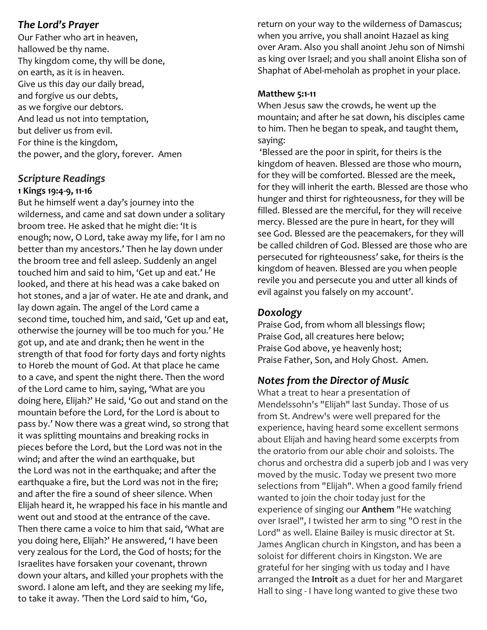# The Lord's Prayer

Our Father who art in heaven, hallowed be thy name. Thy kingdom come, thy will be done, on earth, as it is in heaven. Give us this day our daily bread, and forgive us our debts, as we forgive our debtors. And lead us not into temptation, but deliver us from evil. For thine is the kingdom, the power, and the glory, forever. Amen

# Scripture Readings 1 Kings 19:4-9, 11-16

But he himself went a day's journey into the wilderness, and came and sat down under a solitary broom tree. He asked that he might die: 'It is enough; now, O Lord, take away my life, for I am no better than my ancestors.' Then he lay down under the broom tree and fell asleep. Suddenly an angel touched him and said to him, 'Get up and eat.' He looked, and there at his head was a cake baked on hot stones, and a jar of water. He ate and drank, and lay down again. The angel of the Lord came a second time, touched him, and said, 'Get up and eat, otherwise the journey will be too much for you.' He got up, and ate and drank; then he went in the strength of that food for forty days and forty nights to Horeb the mount of God. At that place he came to a cave, and spent the night there. Then the word of the Lord came to him, saying, 'What are you doing here, Elijah?' He said, 'Go out and stand on the mountain before the Lord, for the Lord is about to pass by.' Now there was a great wind, so strong that it was splitting mountains and breaking rocks in pieces before the Lord, but the Lord was not in the wind; and after the wind an earthquake, but the Lord was not in the earthquake; and after the earthquake a fire, but the Lord was not in the fire; and after the fire a sound of sheer silence. When Elijah heard it, he wrapped his face in his mantle and went out and stood at the entrance of the cave. Then there came a voice to him that said, 'What are you doing here, Elijah?' He answered, 'I have been very zealous for the Lord, the God of hosts; for the Israelites have forsaken your covenant, thrown down your altars, and killed your prophets with the sword. I alone am left, and they are seeking my life, to take it away. 'Then the Lord said to him, 'Go,

return on your way to the wilderness of Damascus; when you arrive, you shall anoint Hazael as king over Aram. Also you shall anoint Jehu son of Nimshi as king over Israel; and you shall anoint Elisha son of Shaphat of Abel-meholah as prophet in your place.

#### Matthew 5:1-11

When Jesus saw the crowds, he went up the mountain; and after he sat down, his disciples came to him. Then he began to speak, and taught them, saying:

 'Blessed are the poor in spirit, for theirs is the kingdom of heaven. Blessed are those who mourn, for they will be comforted. Blessed are the meek, for they will inherit the earth. Blessed are those who hunger and thirst for righteousness, for they will be filled. Blessed are the merciful, for they will receive mercy. Blessed are the pure in heart, for they will see God. Blessed are the peacemakers, for they will be called children of God. Blessed are those who are persecuted for righteousness' sake, for theirs is the kingdom of heaven. Blessed are you when people revile you and persecute you and utter all kinds of evil against you falsely on my account'.

# Doxology

Praise God, from whom all blessings flow; Praise God, all creatures here below; Praise God above, ye heavenly host; Praise Father, Son, and Holy Ghost. Amen.

# Notes from the Director of Music

What a treat to hear a presentation of Mendelssohn's "Elijah" last Sunday. Those of us from St. Andrew's were well prepared for the experience, having heard some excellent sermons about Elijah and having heard some excerpts from the oratorio from our able choir and soloists. The chorus and orchestra did a superb job and I was very moved by the music. Today we present two more selections from "Elijah". When a good family friend wanted to join the choir today just for the experience of singing our **Anthem** "He watching over Israel", I twisted her arm to sing "O rest in the Lord" as well. Elaine Bailey is music director at St. James Anglican church in Kingston, and has been a soloist for different choirs in Kingston. We are grateful for her singing with us today and I have arranged the Introit as a duet for her and Margaret Hall to sing - I have long wanted to give these two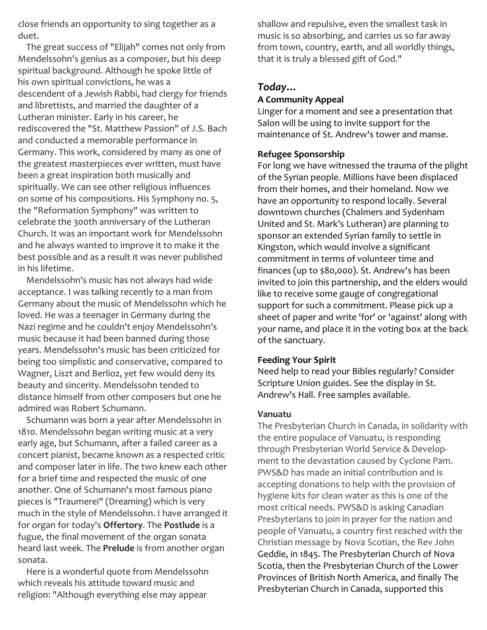close friends an opportunity to sing together as a duet.

 The great success of "Elijah" comes not only from Mendelssohn's genius as a composer, but his deep spiritual background. Although he spoke little of his own spiritual convictions, he was a descendent of a Jewish Rabbi, had clergy for friends and librettists, and married the daughter of a Lutheran minister. Early in his career, he rediscovered the "St. Matthew Passion" of J.S. Bach and conducted a memorable performance in Germany. This work, considered by many as one of the greatest masterpieces ever written, must have been a great inspiration both musically and spiritually. We can see other religious influences on some of his compositions. His Symphony no. 5, the "Reformation Symphony" was written to celebrate the 300th anniversary of the Lutheran Church. It was an important work for Mendelssohn and he always wanted to improve it to make it the best possible and as a result it was never published in his lifetime.

 Mendelssohn's music has not always had wide acceptance. I was talking recently to a man from Germany about the music of Mendelssohn which he loved. He was a teenager in Germany during the Nazi regime and he couldn't enjoy Mendelssohn's music because it had been banned during those years. Mendelssohn's music has been criticized for being too simplistic and conservative, compared to Wagner, Liszt and Berlioz, yet few would deny its beauty and sincerity. Mendelssohn tended to distance himself from other composers but one he admired was Robert Schumann.

 Schumann was born a year after Mendelssohn in 1810. Mendelssohn began writing music at a very early age, but Schumann, after a failed career as a concert pianist, became known as a respected critic and composer later in life. The two knew each other for a brief time and respected the music of one another. One of Schumann's most famous piano pieces is "Traumerei" (Dreaming) which is very much in the style of Mendelssohn. I have arranged it for organ for today's Offertory. The Postlude is a fugue, the final movement of the organ sonata heard last week. The Prelude is from another organ sonata.

 Here is a wonderful quote from Mendelssohn which reveals his attitude toward music and religion: "Although everything else may appear

shallow and repulsive, even the smallest task in music is so absorbing, and carries us so far away from town, country, earth, and all worldly things, that it is truly a blessed gift of God."

## Today…

#### A Community Appeal

Linger for a moment and see a presentation that Salon will be using to invite support for the maintenance of St. Andrew's tower and manse.

#### Refugee Sponsorship

For long we have witnessed the trauma of the plight of the Syrian people. Millions have been displaced from their homes, and their homeland. Now we have an opportunity to respond locally. Several downtown churches (Chalmers and Sydenham United and St. Mark's Lutheran) are planning to sponsor an extended Syrian family to settle in Kingston, which would involve a significant commitment in terms of volunteer time and finances (up to \$80,000). St. Andrew's has been invited to join this partnership, and the elders would like to receive some gauge of congregational support for such a commitment. Please pick up a sheet of paper and write 'for' or 'against' along with your name, and place it in the voting box at the back of the sanctuary.

#### Feeding Your Spirit

Need help to read your Bibles regularly? Consider Scripture Union guides. See the display in St. Andrew's Hall. Free samples available.

#### Vanuatu

The Presbyterian Church in Canada, in solidarity with the entire populace of Vanuatu, is responding through Presbyterian World Service & Development to the devastation caused by Cyclone Pam. PWS&D has made an initial contribution and is accepting donations to help with the provision of hygiene kits for clean water as this is one of the most critical needs. PWS&D is asking Canadian Presbyterians to join in prayer for the nation and people of Vanuatu, a country first reached with the Christian message by Nova Scotian, the Rev John Geddie, in 1845. The Presbyterian Church of Nova Scotia, then the Presbyterian Church of the Lower Provinces of British North America, and finally The Presbyterian Church in Canada, supported this